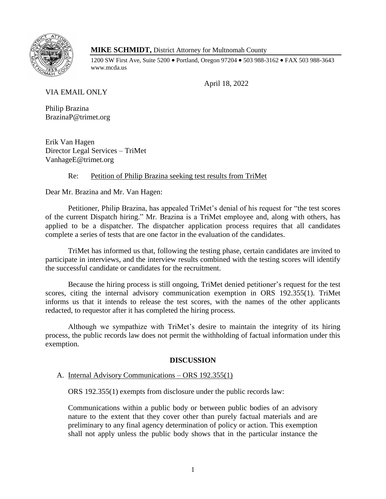

# **MIKE SCHMIDT,** District Attorney for Multnomah County

1200 SW First Ave, Suite 5200 • Portland, Oregon 97204 • 503 988-3162 • FAX 503 988-3643 www.mcda.us

April 18, 2022

VIA EMAIL ONLY

Philip Brazina BrazinaP@trimet.org

Erik Van Hagen Director Legal Services – TriMet VanhageE@trimet.org

# Re: Petition of Philip Brazina seeking test results from TriMet

Dear Mr. Brazina and Mr. Van Hagen:

Petitioner, Philip Brazina, has appealed TriMet's denial of his request for "the test scores of the current Dispatch hiring." Mr. Brazina is a TriMet employee and, along with others, has applied to be a dispatcher. The dispatcher application process requires that all candidates complete a series of tests that are one factor in the evaluation of the candidates.

TriMet has informed us that, following the testing phase, certain candidates are invited to participate in interviews, and the interview results combined with the testing scores will identify the successful candidate or candidates for the recruitment.

Because the hiring process is still ongoing, TriMet denied petitioner's request for the test scores, citing the internal advisory communication exemption in ORS 192.355(1). TriMet informs us that it intends to release the test scores, with the names of the other applicants redacted, to requestor after it has completed the hiring process.

Although we sympathize with TriMet's desire to maintain the integrity of its hiring process, the public records law does not permit the withholding of factual information under this exemption.

# **DISCUSSION**

A. Internal Advisory Communications – ORS 192.355(1)

ORS 192.355(1) exempts from disclosure under the public records law:

Communications within a public body or between public bodies of an advisory nature to the extent that they cover other than purely factual materials and are preliminary to any final agency determination of policy or action. This exemption shall not apply unless the public body shows that in the particular instance the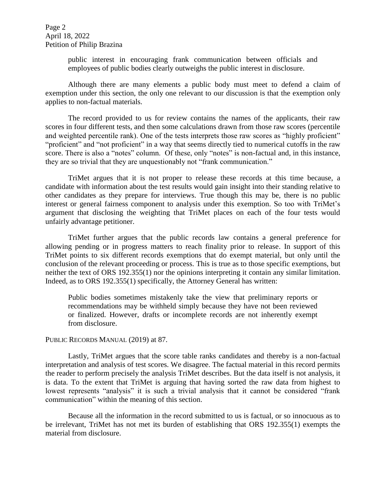Page 2 April 18, 2022 Petition of Philip Brazina

> public interest in encouraging frank communication between officials and employees of public bodies clearly outweighs the public interest in disclosure.

Although there are many elements a public body must meet to defend a claim of exemption under this section, the only one relevant to our discussion is that the exemption only applies to non-factual materials.

The record provided to us for review contains the names of the applicants, their raw scores in four different tests, and then some calculations drawn from those raw scores (percentile and weighted percentile rank). One of the tests interprets those raw scores as "highly proficient" "proficient" and "not proficient" in a way that seems directly tied to numerical cutoffs in the raw score. There is also a "notes" column. Of these, only "notes" is non-factual and, in this instance, they are so trivial that they are unquestionably not "frank communication."

TriMet argues that it is not proper to release these records at this time because, a candidate with information about the test results would gain insight into their standing relative to other candidates as they prepare for interviews. True though this may be, there is no public interest or general fairness component to analysis under this exemption. So too with TriMet's argument that disclosing the weighting that TriMet places on each of the four tests would unfairly advantage petitioner.

TriMet further argues that the public records law contains a general preference for allowing pending or in progress matters to reach finality prior to release. In support of this TriMet points to six different records exemptions that do exempt material, but only until the conclusion of the relevant proceeding or process. This is true as to those specific exemptions, but neither the text of ORS 192.355(1) nor the opinions interpreting it contain any similar limitation. Indeed, as to ORS 192.355(1) specifically, the Attorney General has written:

Public bodies sometimes mistakenly take the view that preliminary reports or recommendations may be withheld simply because they have not been reviewed or finalized. However, drafts or incomplete records are not inherently exempt from disclosure.

#### PUBLIC RECORDS MANUAL (2019) at 87.

Lastly, TriMet argues that the score table ranks candidates and thereby is a non-factual interpretation and analysis of test scores. We disagree. The factual material in this record permits the reader to perform precisely the analysis TriMet describes. But the data itself is not analysis, it is data. To the extent that TriMet is arguing that having sorted the raw data from highest to lowest represents "analysis" it is such a trivial analysis that it cannot be considered "frank communication" within the meaning of this section.

Because all the information in the record submitted to us is factual, or so innocuous as to be irrelevant, TriMet has not met its burden of establishing that ORS 192.355(1) exempts the material from disclosure.